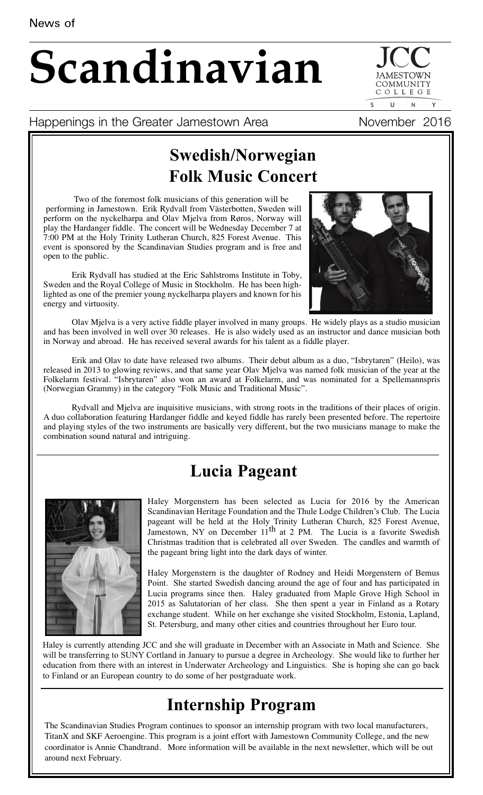# **Scandinavian**

 $\overline{\mathbf{S}}$  $\overline{U}$ 

COMMUNIT COLLEGE

#### Happenings in the Greater Jamestown Area Movember 2016

## **Swedish/Norwegian Folk Music Concert**

Two of the foremost folk musicians of this generation will be performing in Jamestown. Erik Rydvall from Västerbotten, Sweden will perform on the nyckelharpa and Olav Mjelva from Røros, Norway will play the Hardanger fiddle. The concert will be Wednesday December 7 at 7:00 PM at the Holy Trinity Lutheran Church, 825 Forest Avenue. This event is sponsored by the Scandinavian Studies program and is free and open to the public.

Erik Rydvall has studied at the Eric Sahlstroms Institute in Toby, Sweden and the Royal College of Music in Stockholm. He has been highlighted as one of the premier young nyckelharpa players and known for his energy and virtuosity.



Olav Mjelva is a very active fiddle player involved in many groups. He widely plays as a studio musician and has been involved in well over 30 releases. He is also widely used as an instructor and dance musician both in Norway and abroad. He has received several awards for his talent as a fiddle player.

Erik and Olav to date have released two albums. Their debut album as a duo, "Isbrytaren" (Heilo), was released in 2013 to glowing reviews, and that same year Olav Mjelva was named folk musician of the year at the Folkelarm festival. "Isbrytaren" also won an award at Folkelarm, and was nominated for a Spellemannspris (Norwegian Grammy) in the category "Folk Music and Traditional Music".

Rydvall and Mjelva are inquisitive musicians, with strong roots in the traditions of their places of origin. A duo collaboration featuring Hardanger fiddle and keyed fiddle has rarely been presented before. The repertoire and playing styles of the two instruments are basically very different, but the two musicians manage to make the combination sound natural and intriguing.

## **Lucia Pageant**



Haley Morgenstern has been selected as Lucia for 2016 by the American Scandinavian Heritage Foundation and the Thule Lodge Children's Club. The Lucia pageant will be held at the Holy Trinity Lutheran Church, 825 Forest Avenue, Jamestown, NY on December  $11<sup>th</sup>$  at 2 PM. The Lucia is a favorite Swedish Christmas tradition that is celebrated all over Sweden. The candles and warmth of the pageant bring light into the dark days of winter.

Haley Morgenstern is the daughter of Rodney and Heidi Morgenstern of Bemus Point. She started Swedish dancing around the age of four and has participated in Lucia programs since then. Haley graduated from Maple Grove High School in 2015 as Salutatorian of her class. She then spent a year in Finland as a Rotary exchange student. While on her exchange she visited Stockholm, Estonia, Lapland, St. Petersburg, and many other cities and countries throughout her Euro tour.

Haley is currently attending JCC and she will graduate in December with an Associate in Math and Science. She will be transferring to SUNY Cortland in January to pursue a degree in Archeology. She would like to further her education from there with an interest in Underwater Archeology and Linguistics. She is hoping she can go back to Finland or an European country to do some of her postgraduate work.

## **Internship Program**

The Scandinavian Studies Program continues to sponsor an internship program with two local manufacturers, TitanX and SKF Aeroengine. This program is a joint effort with Jamestown Community College, and the new coordinator is Annie Chandtrand. More information will be available in the next newsletter, which will be out around next February.